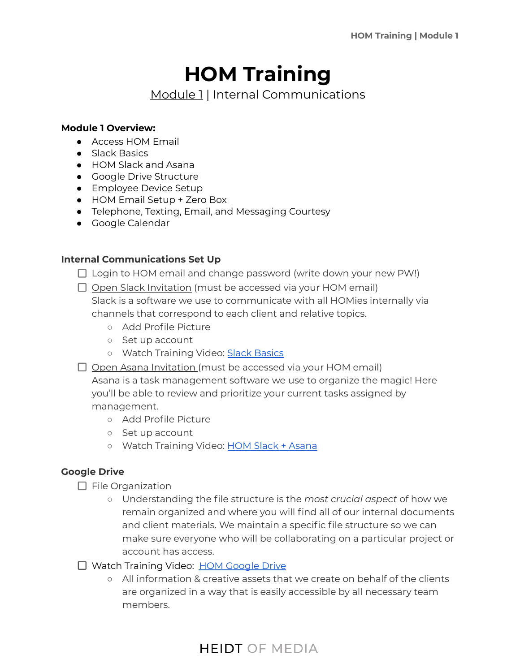# **HOM Training**

Module 1 | Internal Communications

#### **Module 1 Overview:**

- Access HOM Email
- Slack Basics
- HOM Slack and Asana
- Google Drive Structure
- Employee Device Setup
- HOM Email Setup + Zero Box
- Telephone, Texting, Email, and Messaging Courtesy
- Google Calendar

### **Internal Communications Set Up**

- $\Box$  Login to HOM email and change password (write down your new PW!)
- $\Box$  Open Slack Invitation (must be accessed via your HOM email) Slack is a software we use to communicate with all HOMies internally via channels that correspond to each client and relative topics.
	- Add Profile Picture
	- Set up account
	- o Watch Training Video: Slack [Basics](https://youtu.be/RRxQQxiM7AA)
- Open Asana Invitation (must be accessed via your HOM email)

Asana is a task management software we use to organize the magic! Here you'll be able to review and prioritize your current tasks assigned by management.

- Add Profile Picture
- Set up account
- Watch Training Video: HOM Slack + [Asana](https://www.youtube.com/watch?v=RRcGOl4G1rs)

### **Google Drive**

- $\Box$  File Organization
	- Understanding the file structure is the *most crucial aspect* of how we remain organized and where you will find all of our internal documents and client materials. We maintain a specific file structure so we can make sure everyone who will be collaborating on a particular project or account has access.
- □ Watch Training Video: HOM [Google](https://heidt-of-media-new-homie-training.teachable.com/courses/hom-new-hire-training/lectures/34169299) Drive
	- All information & creative assets that we create on behalf of the clients are organized in a way that is easily accessible by all necessary team members.

# **HEIDT OF MEDIA**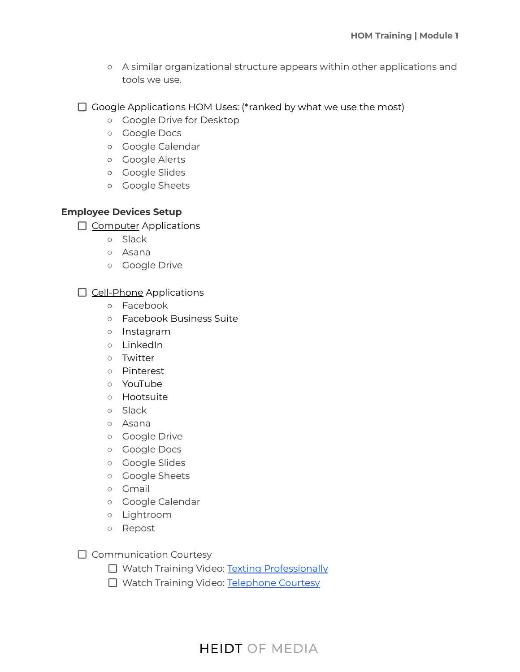- A similar organizational structure appears within other applications and tools we use.
- $\Box$  Google Applications HOM Uses: (\*ranked by what we use the most)
	- Google Drive for Desktop
	- Google Docs
	- Google Calendar
	- Google Alerts
	- Google Slides
	- Google Sheets

### **Employee Devices Setup**

- $\Box$  Computer Applications
	- Slack
	- Asana
	- Google Drive

 $\Box$  Cell-Phone Applications

- Facebook
- Facebook Business Suite
- Instagram
- LinkedIn
- Twitter
- Pinterest
- YouTube
- Hootsuite
- Slack
- Asana
- Google Drive
- Google Docs
- Google Slides
- Google Sheets
- Gmail
- Google Calendar
- Lightroom
- Repost
- $\Box$  Communication Courtesy
	- □ Watch Training Video: Texting [Professionally](https://youtu.be/lQA4oOXPdFY)
	- □ Watch Training Video: [Telephone](https://youtu.be/qkNWTW3raGE) Courtesy

# **HEIDT OF MEDIA**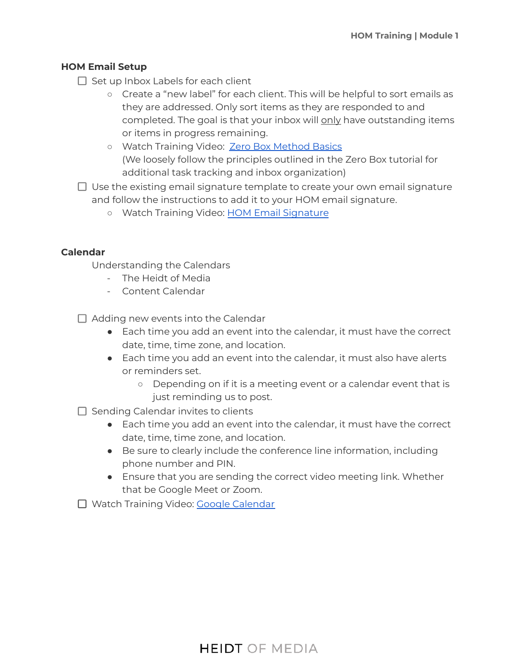### **HOM Email Setup**

- $\Box$  Set up Inbox Labels for each client
	- Create a "new label" for each client. This will be helpful to sort emails as they are addressed. Only sort items as they are responded to and completed. The goal is that your inbox will only have outstanding items or items in progress remaining.
	- Watch Training Video: Zero Box [Method](https://youtu.be/9ql1CQfxWxQ) Basics (We loosely follow the principles outlined in the Zero Box tutorial for additional task tracking and inbox organization)
- $\Box$  Use the existing email signature template to create your own email signature and follow the instructions to add it to your HOM email signature.
	- Watch Training Video: HOM Email [Signature](https://www.youtube.com/watch?v=RRcGOl4G1rs)

#### **Calendar**

Understanding the Calendars

- The Heidt of Media
- Content Calendar

 $\Box$  Adding new events into the Calendar

- Each time you add an event into the calendar, it must have the correct date, time, time zone, and location.
- Each time you add an event into the calendar, it must also have alerts or reminders set.
	- Depending on if it is a meeting event or a calendar event that is just reminding us to post.
- $\Box$  Sending Calendar invites to clients
	- Each time you add an event into the calendar, it must have the correct date, time, time zone, and location.
	- Be sure to clearly include the conference line information, including phone number and PIN.
	- Ensure that you are sending the correct video meeting link. Whether that be Google Meet or Zoom.

□ Watch Training Video: Google [Calendar](https://youtu.be/bZdmQJjMpvw)

### **HEIDT OF MEDIA**